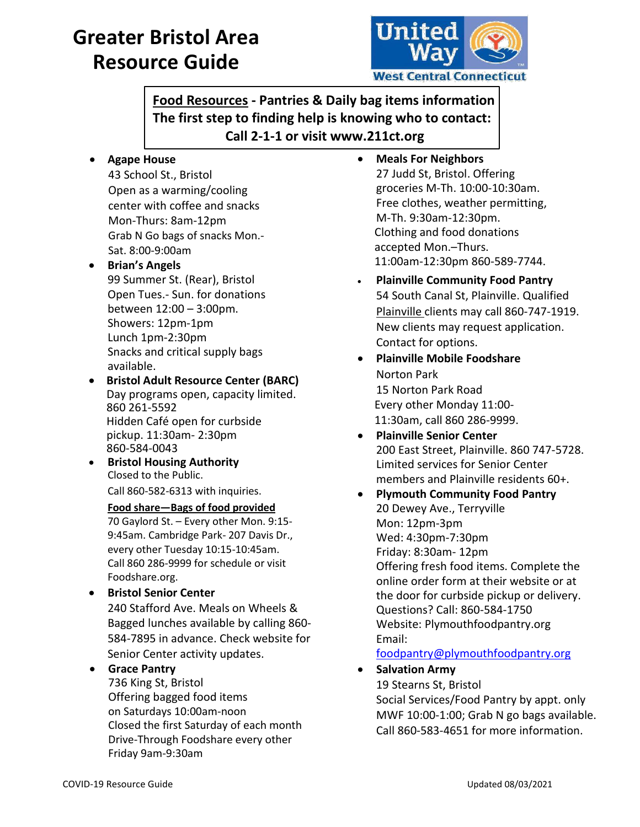# **Greater Bristol Area Resource Guide**



**Food Resources - Pantries & Daily bag items information The first step to finding help is knowing who to contact: Call 2-1-1 or visit www.211ct.org**

**Agape House**

43 School St., Bristol Open as a warming/cooling center with coffee and snacks Mon-Thurs: 8am-12pm Grab N Go bags of snacks Mon.- Sat. 8:00-9:00am

- **Brian's Angels** 99 Summer St. (Rear), Bristol Open Tues.- Sun. for donations between 12:00 – 3:00pm. Showers: 12pm-1pm Lunch 1pm-2:30pm Snacks and critical supply bags available.
- **Bristol Adult Resource Center (BARC)** Day programs open, capacity limited. 860 261-5592 Hidden Café open for curbside pickup. 11:30am- 2:30pm 860-584-0043
- **•** Bristol Housing Authority Closed to the Public. Call 860-582-6313 with inquiries.

**Food share—Bags of food provided**  70 Gaylord St. – Every other Mon. 9:15- 9:45am. Cambridge Park- 207 Davis Dr., every other Tuesday 10:15-10:45am. Call 860 286-9999 for schedule or visit Foodshare.org.

 **Bristol Senior Center** 240 Stafford Ave. Meals on Wheels & Bagged lunches available by calling 860- 584-7895 in advance. Check website for Senior Center activity updates.

## **Grace Pantry**

736 King St, Bristol Offering bagged food items on Saturdays 10:00am-noon Closed the first Saturday of each month Drive-Through Foodshare every other Friday 9am-9:30am

- **Meals For Neighbors** 27 Judd St, Bristol. Offering groceries M-Th. 10:00-10:30am. Free clothes, weather permitting, M-Th. 9:30am-12:30pm. Clothing and food donations accepted Mon.–Thurs. 11:00am-12:30pm 860-589-7744.
- **Plainville Community Food Pantry** 54 South Canal St, Plainville. Qualified Plainville clients may call 860-747-1919. New clients may request application. Contact for options.
- **Plainville Mobile Foodshare** Norton Park 15 Norton Park Road Every other Monday 11:00- 11:30am, call 860 286-9999.
- **Plainville Senior Center** 200 East Street, Plainville. 860 747-5728. Limited services for Senior Center members and Plainville residents 60+.
- **Plymouth Community Food Pantry**  20 Dewey Ave., Terryville Mon: 12pm-3pm Wed: 4:30pm-7:30pm Friday: 8:30am- 12pm Offering fresh food items. Complete the online order form at their website or at the door for curbside pickup or delivery. Questions? Call: 860-584-1750 Website: Plymouthfoodpantry.org Email:

## [foodpantry@plymouthfoodpantry.org](mailto:foodpantry@plymouthfoodpantry.org)

**Salvation Army**

19 Stearns St, Bristol

Social Services/Food Pantry by appt. only MWF 10:00-1:00; Grab N go bags available. Call 860-583-4651 for more information.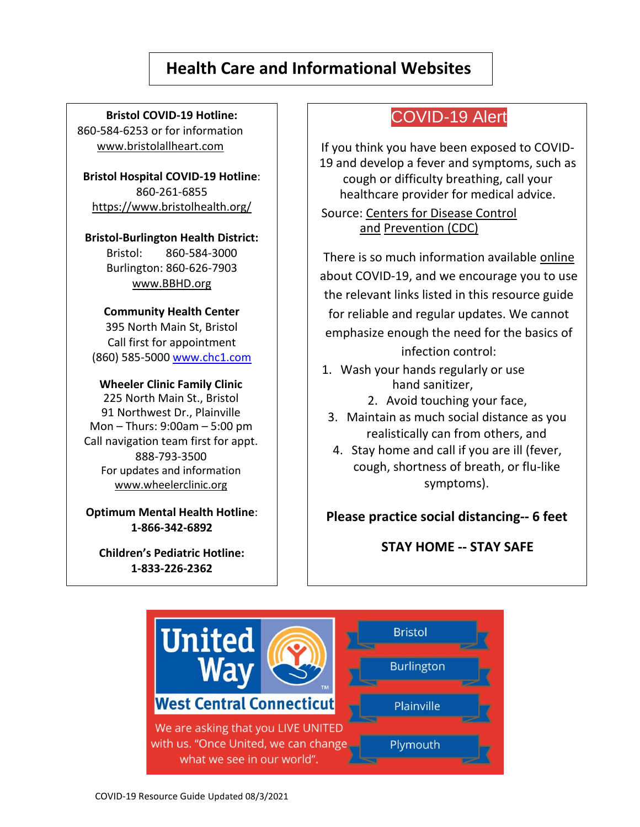# **Health Care and Informational Websites**

**Bristol COVID-19 Hotline:** 860-584-6253 or for information

www.bristolallheart.com

**Bristol Hospital COVID-19 Hotline**: 860-261-6855 <https://www.bristolhealth.org/>

**Bristol-Burlington Health District:** Bristol: 860-584-3000 Burlington: 860-626-7903 www.BBHD.org

### **Community Health Center**

395 North Main St, Bristol Call first for appointment (860) 585-5000 [www.chc1.com](http://www.chc1.com/)

### **Wheeler Clinic Family Clinic**

225 North Main St., Bristol 91 Northwest Dr., Plainville Mon – Thurs: 9:00am – 5:00 pm Call navigation team first for appt. 888-793-3500 For updates and information [www.wheelerclinic.org](http://www.wheelerclinic.org/covid-19)

**Optimum Mental Health Hotline**: **1-866-342-6892**

**Children's Pediatric Hotline: 1-833-226-2362**

## COVID-19 Alert

If you think you have been exposed to COVID-19 and develop a fever and symptoms, such as cough or difficulty breathing, call your healthcare provider for medical advice.

Source: [Centers for Disease Control](https://www.cdc.gov/coronavirus/2019-ncov/if-you-are-sick/steps-when-sick.html)  [and](https://www.cdc.gov/coronavirus/2019-ncov/if-you-are-sick/steps-when-sick.html) [Prevention \(](https://www.cdc.gov/coronavirus/2019-ncov/if-you-are-sick/steps-when-sick.html)CDC)

There is so much information available [online](https://www.wheelerclinic.org/news/covid-19) about COVID-19, and we encourage you to use the relevant links listed in this resource guide for reliable and regular updates. We cannot emphasize enough the need for the basics of

infection control:

- 1. Wash your hands regularly or use hand sanitizer,
	- 2. Avoid touching your face,
- 3. Maintain as much social distance as you realistically can from others, and
- 4. Stay home and call if you are ill (fever, cough, shortness of breath, or flu-like symptoms).

**Please practice social distancing-- 6 feet**

**STAY HOME -- STAY SAFE**

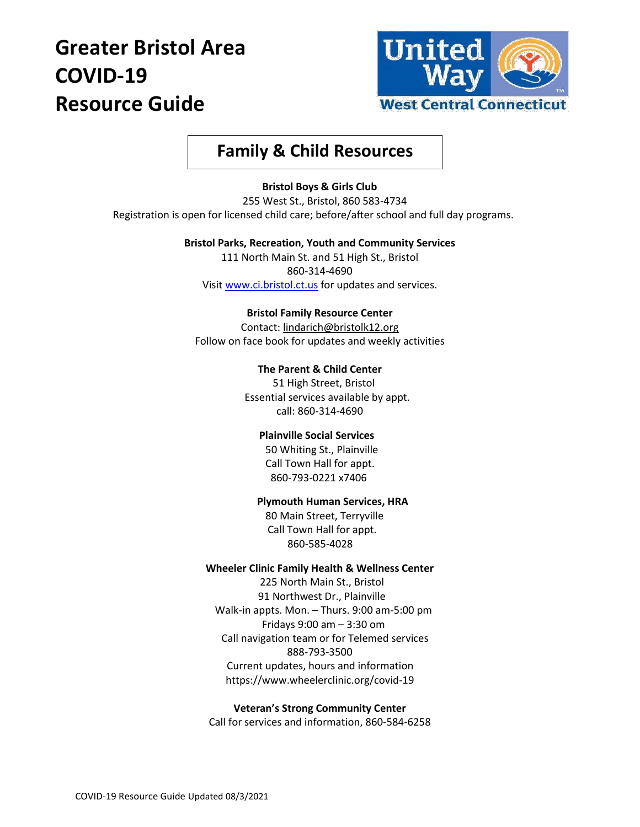# **Greater Bristol Area COVID-19 Resource Guide**



# **Family & Child Resources**

#### **Bristol Boys & Girls Club**

 255 West St., Bristol, 860 583-4734 Registration is open for licensed child care; before/after school and full day programs.

#### **Bristol Parks, Recreation, Youth and Community Services**

111 North Main St. and 51 High St., Bristol 860-314-4690 Visi[t www.ci.bristol.ct.us](http://www.ci.bristol.ct.us/) for updates and services.

#### **Bristol Family Resource Center**

Contact[: lindarich@bristolk12.org](mailto:lindarich@bristolk12.org) Follow on face book for updates and weekly activities

#### **The Parent & Child Center**

51 High Street, Bristol Essential services available by appt. call: 860-314-4690

#### **Plainville Social Services**

50 Whiting St., Plainville Call Town Hall for appt. 860-793-0221 x7406

#### **Plymouth Human Services, HRA**

80 Main Street, Terryville Call Town Hall for appt. 860-585-4028

#### **Wheeler Clinic Family Health & Wellness Center**

225 North Main St., Bristol 91 Northwest Dr., Plainville Walk-in appts. Mon. – Thurs. 9:00 am-5:00 pm Fridays 9:00 am – 3:30 om Call navigation team or for Telemed services 888-793-3500 Current updates, hours and information https://www.wheelerclinic.org/covid-19

#### **Veteran's Strong Community Center** Call for services and information, 860-584-6258